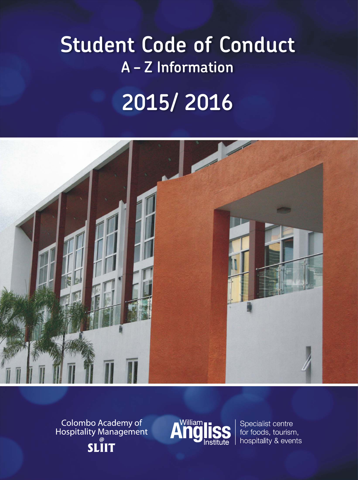## **Student Code of Conduct A – Z Information**

# **2015/ 2016**



Colombo Academy of<br>Hospitality Management **SLIIT** 



Specialist centre for foods, tourism, hospitality & events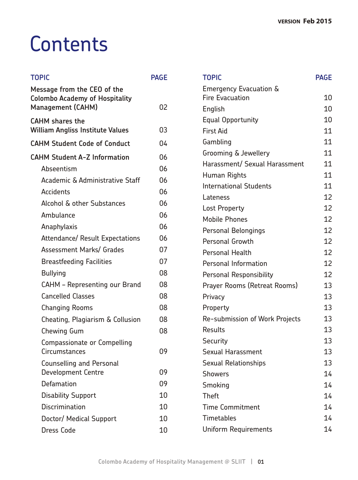## **Contents**

| <b>TOPIC</b>                                                                                     | <b>PAGE</b> | <b>TOPIC</b>                                  | <b>PAGE</b> |
|--------------------------------------------------------------------------------------------------|-------------|-----------------------------------------------|-------------|
| Message from the CEO of the<br><b>Colombo Academy of Hospitality</b><br><b>Management (CAHM)</b> |             | <b>Emergency Evacuation &amp;</b>             |             |
|                                                                                                  |             | <b>Fire Evacuation</b>                        | 10          |
|                                                                                                  | 02          | English                                       | 10          |
| <b>CAHM</b> shares the                                                                           |             | <b>Equal Opportunity</b>                      | 10          |
| <b>William Angliss Institute Values</b>                                                          | 03          | First Aid                                     | 11          |
| <b>CAHM Student Code of Conduct</b>                                                              | 04          | Gambling                                      | 11          |
| <b>CAHM Student A-Z Information</b>                                                              | 06          | <b>Grooming &amp; Jewellery</b>               | 11          |
| Abseentism                                                                                       | 06          | Harassment/ Sexual Harassment                 | 11          |
| Academic & Administrative Staff                                                                  | 06          | Human Rights                                  | 11          |
| <b>Accidents</b>                                                                                 | 06          | <b>International Students</b>                 | 11          |
| Alcohol & other Substances                                                                       | 06          | Lateness                                      | 12          |
| Ambulance                                                                                        | 06          | <b>Lost Property</b>                          | 12          |
| Anaphylaxis                                                                                      | 06          | <b>Mobile Phones</b>                          | 12<br>12    |
| <b>Attendance/ Result Expectations</b>                                                           | 06          | <b>Personal Belongings</b><br>Personal Growth | 12          |
| <b>Assessment Marks/ Grades</b>                                                                  | 07          | <b>Personal Health</b>                        | 12          |
| <b>Breastfeeding Facilities</b>                                                                  | 07          | Personal Information                          | 12          |
| <b>Bullying</b>                                                                                  | 08          | <b>Personal Responsibility</b>                | 12          |
| <b>CAHM</b> - Representing our Brand                                                             | 08          | Prayer Rooms (Retreat Rooms)                  | 13          |
| <b>Cancelled Classes</b>                                                                         | 08          | Privacy                                       | 13          |
| <b>Changing Rooms</b>                                                                            | 08          | Property                                      | 13          |
| Cheating, Plagiarism & Collusion                                                                 | 08          | Re-submission of Work Projects                | 13          |
| <b>Chewing Gum</b>                                                                               | 08          | <b>Results</b>                                | 13          |
| <b>Compassionate or Compelling</b>                                                               |             | Security                                      | 13          |
| Circumstances                                                                                    | 09          | <b>Sexual Harassment</b>                      | 13          |
| <b>Counselling and Personal</b>                                                                  |             | <b>Sexual Relationships</b>                   | 13          |
| <b>Development Centre</b>                                                                        | 09          | <b>Showers</b>                                | 14          |
| <b>Defamation</b>                                                                                | 09          | Smoking                                       | 14          |
| <b>Disability Support</b>                                                                        | 10          | <b>Theft</b>                                  | 14          |
| <b>Discrimination</b>                                                                            | 10          | <b>Time Commitment</b>                        | 14          |
| Doctor/ Medical Support                                                                          | 10          | <b>Timetables</b>                             | 14          |
| <b>Dress Code</b>                                                                                | 10          | <b>Uniform Requirements</b>                   | 14          |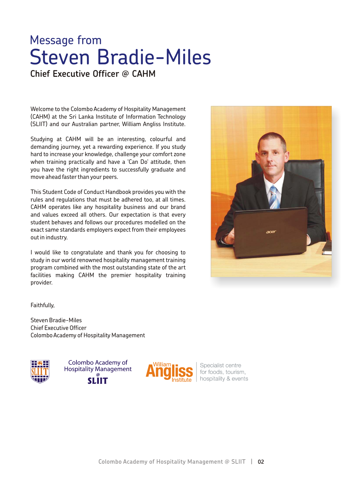### Message from Steven Bradie-Miles

**Chief Executive Officer @ CAHM**

Welcome to the Colombo Academy of Hospitality Management (CAHM) at the Sri Lanka Institute of Information Technology (SLIIT) and our Australian partner, William Angliss Institute.

Studying at CAHM will be an interesting, colourful and demanding journey, yet a rewarding experience. If you study hard to increase your knowledge, challenge your comfort zone when training practically and have a 'Can Do' attitude, then you have the right ingredients to successfully graduate and move ahead faster than your peers.

This Student Code of Conduct Handbook provides you with the rules and regulations that must be adhered too, at all times. CAHM operates like any hospitality business and our brand and values exceed all others. Our expectation is that every student behaves and follows our procedures modelled on the exact same standards employers expect from their employees out in industry.

I would like to congratulate and thank you for choosing to study in our world renowned hospitality management training program combined with the most outstanding state of the art facilities making CAHM the premier hospitality training provider.



Faithfully,

Steven Bradie-Miles Chief Executive Officer Colombo Academy of Hospitality Management



Colombo Academy of **Hospitality Management SLIIT** 



Specialist centre for foods, tourism, hospitality & events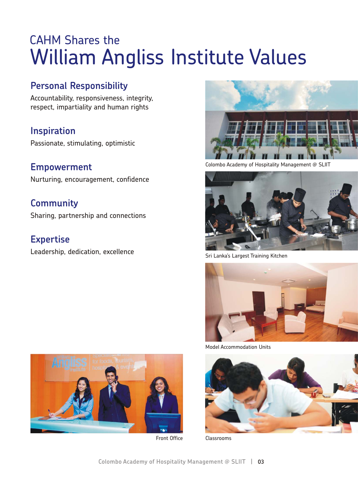### CAHM Shares the William Angliss Institute Values

### **Personal Responsibility**

Accountability, responsiveness, integrity, respect, impartiality and human rights

### **Inspiration**

Passionate, stimulating, optimistic

**Empowerment** Nurturing, encouragement, confidence

**Community** Sharing, partnership and connections

**Expertise** Leadership, dedication, excellence



Front Office



Colombo Academy of Hospitality Management @ SLIIT



Sri Lanka's Largest Training Kitchen



Model Accommodation Units



Classrooms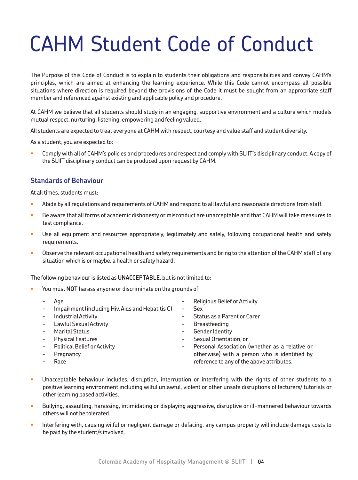# CAHM Student Code of Conduct

The Purpose of this Code of Conduct is to explain to students their obligations and responsibilities and convey CAHM's principles, which are aimed at enhancing the learning experience. While this Code cannot encompass all possible situations where direction is required beyond the provisions of the Code it must be sought from an appropriate staff member and referenced against existing and applicable policy and procedure.

At CAHM we believe that all students should study in an engaging, supportive environment and a culture which models mutual respect, nurturing, listening, empowering and feeling valued.

All students are expected to treat everyone at CAHM with respect, courtesy and value staff and student diversity.

As a student, you are expected to:

**•** Comply with all of CAHM's policies and procedures and respect and comply with SLIIT's disciplinary conduct. A copy of the SLIIT disciplinary conduct can be produced upon request by CAHM.

#### **Standards of Behaviour**

At all times, students must;

- Abide by all regulations and requirements of CAHM and respond to all lawful and reasonable directions from staff.
- Abide by all regulations and requirements of CAHM and respond to all lawful and reasonable directions from staff.<br>• Be aware that all forms of academic dishonesty or misconduct are unacceptable and that CAHM will tak test compliance.
- Use all equipment and resources appropriately, legitimately and safely, following occupational health and safety ß requirements.
- **•** Observe the relevant occupational health and safety requirements and bring to the attention of the CAHM staff of any situation which is or maybe, a health or safety hazard.

The following behaviour is listed as **UNACCEPTABLE**, but is not limited to;

- **EXECT:** You must **NOT** harass anyone or discriminate on the grounds of:
	- Age
	- Impairment(including Hiv, Aids and Hepatitis C)
	- Industrial Activity
	- Lawful Sexual Activity
	- Marital Status
	- Physical Features
	- Political Belief or Activity
	- Pregnancy
	- Race
- Religious Belief or Activity
- Sex
- Status as a Parent or Carer
- **Breastfeeding**
- Gender Identity
- Sexual Orientation, or
- Personal Association (whether as a relative or otherwise) with a person who is identified by reference to any of the above attributes.
- **BED** Unacceptable behaviour includes, disruption, interruption or interfering with the rights of other students to a positive learning environment including wilful unlawful, violent or other unsafe disruptions of lecturers/ tutorials or otherlearning based activities.
- ß Bullying, assaulting, harassing, intimidating or displaying aggressive, disruptive or ill-mannered behaviour towards others will not be tolerated.
- **Interfering with, causing wilful or negligent damage or defacing, any campus property will include damage costs to** be paid by the student/s involved.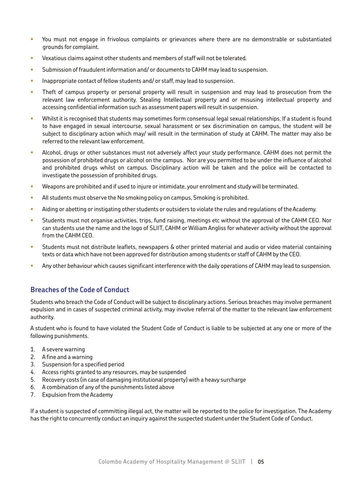- **•** You must not engage in frivolous complaints or grievances where there are no demonstrable or substantiated grounds for complaint.
- Vexatious claims against other students and members of staff will not be tolerated.
- & V<br>B<br>B<br>B<br>B<br>T<br>T<br>T<br>T Submission of fraudulent information and/ or documents to CAHM may lead to suspension.
- Inappropriate contact of fellow students and/ or staff, may lead to suspension.
- Theft of campus property or personal property will result in suspension and may lead to prosecution from the relevant law enforcement authority. Stealing Intellectual property and or misusing intellectual property and accessing confidential information such as assessment papers will resultin suspension.
- **Whilst it is recognised that students may sometimes form consensual legal sexual relationships. If a student is found** to have engaged in sexual intercourse, sexual harassment or sex discrimination on campus, the student will be subject to disciplinary action which may/ will result in the termination of study at CAHM. The matter may also be referred to the relevant law enforcement.
- **BET Alcohol, drugs or other substances must not adversely affect your study performance. CAHM does not permit the** possession of prohibited drugs or alcohol on the campus. Nor are you permitted to be underthe influence of alcohol and prohibited drugs whilst on campus. Disciplinary action will be taken and the police will be contacted to investigate the possession of prohibited drugs.
- Weapons are prohibited and if used to injure or intimidate, your enrolment and study will be terminated.
- W<br>• Al<br>• Ai<br>• St All students must observe the No smoking policy on campus, Smoking is prohibited.
- Aiding or abetting or instigating other students or outsiders to violate the rules and regulations of the Academy.
- Students must not organise activities, trips, fund raising, meetings etc without the approval of the CAHM CEO. Nor can students use the name and the logo of SLIIT, CAHM or William Angliss for whatever activity without the approval from the CAHM CEO.
- **Students must not distribute leaflets, newspapers & other printed material and audio or video material containing** texts or data which have not been approved for distribution among students or staff of CAHM by the CEO.
- **A**ny other behaviour which causes significant interference with the daily operations of CAHM may lead to suspension.

#### **Breaches of the Code of Conduct**

Students who breach the Code of Conduct will be subject to disciplinary actions. Serious breaches may involve permanent expulsion and in cases of suspected criminal activity, may involve referral of the matter to the relevant law enforcement authority.

A student who is found to have violated the Student Code of Conduct is liable to be subjected at any one or more of the following punishments.

- 1. A severe warning
- 2. A fine and a warning
- 3. Suspension for a specified period
- 4. Access rights granted to any resources, may be suspended
- 5. Recovery costs (in case of damaging institutional property) with a heavy surcharge
- 6. A combination of any of the punishments listed above
- 7. Expulsion from the Academy

If a student is suspected of committing illegal act, the matter will be reported to the police forinvestigation. The Academy has the right to concurrently conduct an inquiry against the suspected student under the Student Code of Conduct.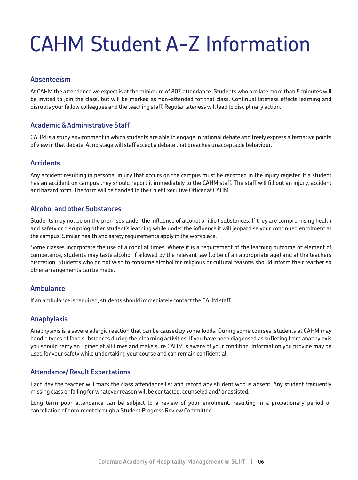# CAHM Student A-Z Information

#### **Absenteeism**

At CAHM the attendance we expect is at the minimum of 80% attendance. Students who are late more than 5 minutes will be invited to join the class, but will be marked as non-attended for that class. Continual lateness effects learning and disrupts your fellow colleagues and the teaching staff. Regular lateness will lead to disciplinary action.

#### **Academic & Administrative Staff**

CAHM is a study environmentin which students are able to engage in rational debate and freely express alternative points of view in that debate. At no stage will staff accept a debate that breaches unacceptable behaviour.

#### **Accidents**

Any accident resulting in personal injury that occurs on the campus must be recorded in the injury register. If a student has an accident on campus they should report it immediately to the CAHM staff. The staff will fill out an injury, accident and hazard form. The form will be handed to the Chief Executive Officer at CAHM.

#### **Alcohol and other Substances**

Students may not be on the premises under the influence of alcohol or illicit substances. If they are compromising health and safety or disrupting other student's learning while under the influence it will jeopardise your continued enrolment at the campus. Similar health and safety requirements apply in the workplace.

Some classes incorporate the use of alcohol at times. Where it is a requirement of the learning outcome or element of competence, students may taste alcohol if allowed by the relevant law (to be of an appropriate age) and at the teachers discretion. Students who do not wish to consume alcohol for religious or cultural reasons should inform their teacher so other arrangements can be made.

#### **Ambulance**

If an ambulance is required, students should immediately contactthe CAHM staff.

#### **Anaphylaxis**

Anaphylaxis is a severe allergic reaction that can be caused by some foods. During some courses, students at CAHM may handle types of food substances during their learning activities. If you have been diagnosed as suffering from anaphylaxis you should carry an Epipen at all times and make sure CAHM is aware of your condition. Information you provide may be used for your safety while undertaking your course and can remain confidential.

#### **Attendance/ Result Expectations**

Each day the teacher will mark the class attendance list and record any student who is absent. Any student frequently missing class orfailing for whateverreason will be contacted, counseled and/ or assisted.

Long term poor attendance can be subject to a review of your enrolment, resulting in a probationary period or cancellation of enrolment through a Student Progress Review Committee.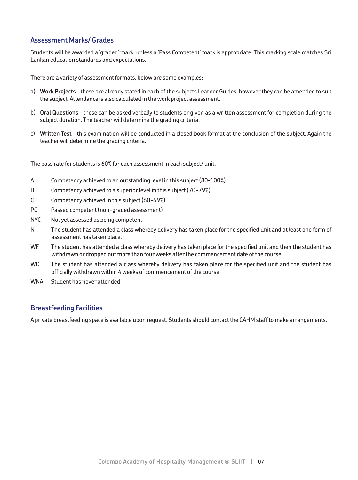#### **Assessment Marks/ Grades**

Students will be awarded a 'graded' mark, unless a 'Pass Competent' mark is appropriate. This marking scale matches Sri Lankan education standards and expectations.

There are a variety of assessment formats, below are some examples:

- a) **Work Projects** these are already stated in each of the subjects Learner Guides, howeverthey can be amended to suit the subject. Attendance is also calculated in the work project assessment.
- b) **Oral Questions** these can be asked verbally to students or given as a written assessment for completion during the subject duration. The teacher will determine the grading criteria.
- c) **Written Test** this examination will be conducted in a closed book format at the conclusion of the subject. Again the teacher will determine the grading criteria.

The pass rate for students is 60% for each assessment in each subject/ unit.

- A Competency achieved to an outstanding level in this subject(80–100%)
- B Competency achieved to a superior level in this subject (70-79%)
- C Competency achieved in this subject(60-69%)
- PC Passed competent(non-graded assessment)
- NYC Not yet assessed as being competent
- N The student has attended a class whereby delivery has taken place for the specified unit and at least one form of assessment has taken place.
- WF The student has attended a class whereby delivery has taken place forthe specified unit and then the student has withdrawn or dropped out more than four weeks afterthe commencement date of the course.
- WD The student has attended a class whereby delivery has taken place for the specified unit and the student has officially withdrawn within 4 weeks of commencement of the course
- WNA Student has never attended

#### **Breastfeeding Facilities**

A private breastfeeding space is available upon request. Students should contact the CAHM staff to make arrangements.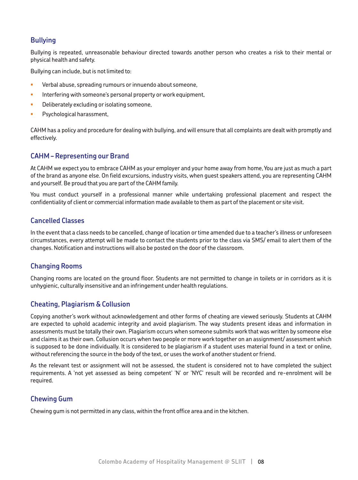#### **Bullying**

Bullying is repeated, unreasonable behaviour directed towards another person who creates a risk to their mental or physical health and safety.

Bullying can include, but is not limited to:

- Verbal abuse, spreading rumours or innuendo about someone,
- Interfering with someone's personal property or work equipment, • Ve<br>• In<br>• De<br>• Ps
- Deliberately excluding or isolating someone,
- Psychological harassment,

CAHM has a policy and procedure for dealing with bullying, and will ensure that all complaints are dealt with promptly and effectively.

#### **CAHM – Representing our Brand**

At CAHM we expect you to embrace CAHM as your employer and your home away from home, You are just as much a part of the brand as anyone else. On field excursions, industry visits, when guest speakers attend, you are representing CAHM and yourself. Be proud that you are part of the CAHM family.

You must conduct yourself in a professional manner while undertaking professional placement and respect the confidentiality of client or commercial information made available to them as part of the placement or site visit.

#### **Cancelled Classes**

In the event that a class needs to be cancelled, change of location or time amended due to a teacher's illness or unforeseen circumstances, every attempt will be made to contact the students prior to the class via SMS/ email to alert them of the changes. Notification and instructions will also be posted on the door of the classroom.

#### **Changing Rooms**

Changing rooms are located on the ground floor. Students are not permitted to change in toilets or in corridors as it is unhygienic, culturally insensitive and an infringement under health regulations.

#### **Cheating, Plagiarism & Collusion**

Copying another's work without acknowledgement and other forms of cheating are viewed seriously. Students at CAHM are expected to uphold academic integrity and avoid plagiarism. The way students present ideas and information in assessments must be totally their own. Plagiarism occurs when someone submits work that was written by someone else and claims it as their own. Collusion occurs when two people or more work together on an assignment/ assessment which is supposed to be done individually. It is considered to be plagiarism if a student uses material found in a text or online, without referencing the source in the body of the text, or uses the work of another student or friend.

As the relevant test or assignment will not be assessed, the student is considered not to have completed the subject requirements. A 'not yet assessed as being competent' 'N' or 'NYC' result will be recorded and re-enrolment will be required.

#### **Chewing Gum**

Chewing gum is not permitted in any class, within the front office area and in the kitchen.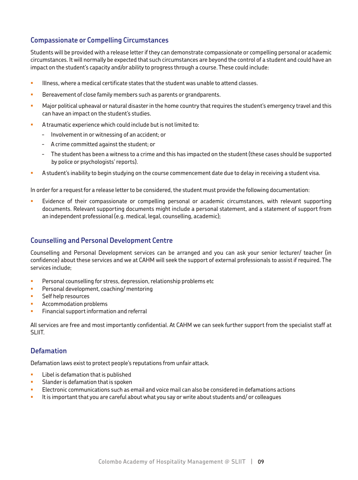#### **Compassionate or Compelling Circumstances**

Students will be provided with a release letterif they can demonstrate compassionate or compelling personal or academic circumstances. It will normally be expected that such circumstances are beyond the control of a student and could have an impact on the student's capacity and/or ability to progress through a course. These could include:

- Illness, where a medical certificate states that the student was unable to attend classes.
- Bereavement of close family members such as parents or grandparents.
- Major political upheaval or natural disaster in the home country that requires the student's emergency travel and this can have an impact on the student's studies. 8 III<br>8 B<br>8 M
- **A** traumatic experience which could include but is not limited to:
	- Involvement in or witnessing of an accident; or
	- A crime committed against the student; or
	- The student has been a witness to a crime and this has impacted on the student (these cases should be supported by police or psychologists' reports).
- **A student's inability to begin studying on the course commencement date due to delay in receiving a student visa.**

In order for a request for a release letter to be considered, the student must provide the following documentation:

**Exidence of their compassionate or compelling personal or academic circumstances, with relevant supporting** documents. Relevant supporting documents might include a personal statement, and a statement of support from an independent professional (e.g. medical, legal, counselling, academic);

#### **Counselling and Personal Development Centre**

Counselling and Personal Development services can be arranged and you can ask your senior lecturer/ teacher (in confidence) about these services and we at CAHM will seek the support of external professionals to assist if required. The services include;

- Personal counselling for stress, depression, relationship problems etc
- Personal development, coaching/ mentoring Pe<br>Pe<br>Pa<br>Pa<br>Pi<br>Pi
- Self help resources
- Accommodation problems
- Financial support information and referral

All services are free and most importantly confidential. At CAHM we can seek further support from the specialist staff at SLIIT.

#### **Defamation**

Defamation laws exist to protect people's reputations from unfair attack.

- Libel is defamation that is published
- Slander is defamation that is spoken
- Electronic communications such as email and voice mail can also be considered in defamations actions • Li<br>• Sl<br>• El<br>• It
- Itis importantthat you are careful about what you say or write about students and/ or colleagues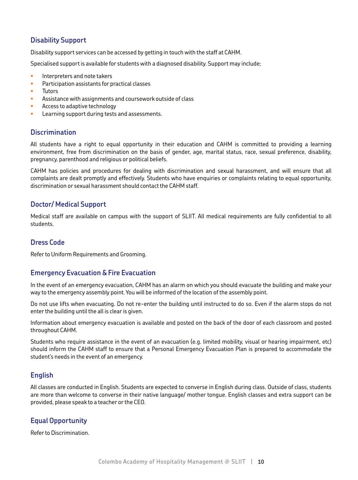#### **Disability Support**

Disability support services can be accessed by getting in touch with the staff at CAHM.

Specialised support is available for students with a diagnosed disability. Support may include;

- Interpreters and note takers
- Participation assistants for practical classes | In<br>| Pa<br>| Tu<br>| As<br>| Le
- **Tutors**
- Assistance with assignments and coursework outside of class
- Access to adaptive technology
- Learning support during tests and assessments.

#### **Discrimination**

All students have a right to equal opportunity in their education and CAHM is committed to providing a learning environment, free from discrimination on the basis of gender, age, marital status, race, sexual preference, disability, pregnancy, parenthood and religious or political beliefs.

CAHM has policies and procedures for dealing with discrimination and sexual harassment, and will ensure that all complaints are dealt promptly and effectively. Students who have enquiries or complaints relating to equal opportunity, discrimination or sexual harassment should contact the CAHM staff.

#### **Doctor/ Medical Support**

Medical staff are available on campus with the support of SLIIT. All medical requirements are fully confidential to all students.

#### **Dress Code**

Refer to Uniform Requirements and Grooming.

#### **Emergency Evacuation & Fire Evacuation**

In the event of an emergency evacuation, CAHM has an alarm on which you should evacuate the building and make your way to the emergency assembly point. You will be informed of the location of the assembly point.

Do not use lifts when evacuating. Do not re-enter the building until instructed to do so. Even if the alarm stops do not enter the building until the all is clear is given.

Information about emergency evacuation is available and posted on the back of the door of each classroom and posted throughout CAHM.

Students who require assistance in the event of an evacuation (e.g. limited mobility, visual or hearing impairment, etc) should inform the CAHM staff to ensure that a Personal Emergency Evacuation Plan is prepared to accommodate the student's needs in the event of an emergency.

#### **English**

All classes are conducted in English. Students are expected to converse in English during class. Outside of class, students are more than welcome to converse in their native language/ mother tongue. English classes and extra support can be provided, please speak to a teacher orthe CEO.

#### **Equal Opportunity**

Referto Discrimination.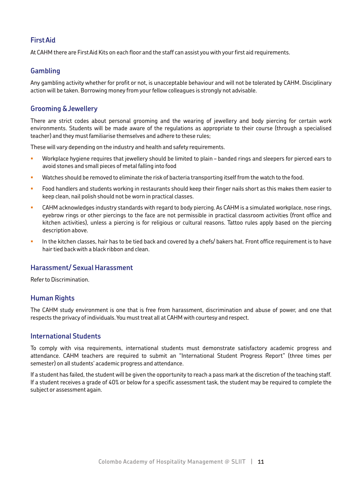#### **FirstAid**

At CAHM there are FirstAid Kits on each floor and the staff can assist you with yourfirst aid requirements.

#### **Gambling**

Any gambling activity whether for profit or not, is unacceptable behaviour and will not be tolerated by CAHM. Disciplinary action will be taken. Borrowing money from your fellow colleagues is strongly not advisable.

#### **Grooming & Jewellery**

There are strict codes about personal grooming and the wearing of jewellery and body piercing for certain work environments. Students will be made aware of the regulations as appropriate to their course (through a specialised teacher) and they must familiarise themselves and adhere to these rules;

These will vary depending on the industry and health and safety requirements.

- Workplace hygiene requires that jewellery should be limited to plain banded rings and sleepers for pierced ears to ß avoid stones and small pieces of metal falling into food
- Watches should be removed to eliminate the risk of bacteria transporting itself from the watch to the food.
- Udatches should be removed to eliminate the risk of bacteria transporting itself from the watch to the food.<br>• Food handlers and students working in restaurants should keep their finger nails short as this makes them keep clean, nail polish should not be worn in practical classes.
- CAHM acknowledges industry standards with regard to body piercing. As CAHM is a simulated workplace, nose rings, ß eyebrow rings or other piercings to the face are not permissible in practical classroom activities (front office and kitchen activities), unless a piercing is for religious or cultural reasons. Tattoo rules apply based on the piercing description above.
- $\blacksquare$  In the kitchen classes, hair has to be tied back and covered by a chefs/ bakers hat. Front office requirement is to have hairtied back with a black ribbon and clean.

#### **Harassment/ Sexual Harassment**

Referto Discrimination.

#### **Human Rights**

The CAHM study environment is one that is free from harassment, discrimination and abuse of power, and one that respects the privacy of individuals. You musttreat all at CAHM with courtesy and respect.

#### **International Students**

To comply with visa requirements, international students must demonstrate satisfactory academic progress and attendance. CAHM teachers are required to submit an "International Student Progress Report" (three times per semester) on all students' academic progress and attendance.

If a student has failed, the student will be given the opportunity to reach a pass mark atthe discretion of the teaching staff. If a student receives a grade of 40% or below for a specific assessment task, the student may be required to complete the subject or assessment again.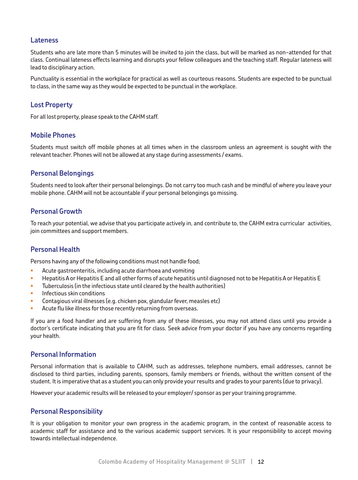#### **Lateness**

Students who are late more than 5 minutes will be invited to join the class, but will be marked as non-attended for that class. Continual lateness effects learning and disrupts your fellow colleagues and the teaching staff. Regular lateness will lead to disciplinary action.

Punctuality is essential in the workplace for practical as well as courteous reasons. Students are expected to be punctual to class, in the same way as they would be expected to be punctual in the workplace.

#### **Lost Property**

For all lost property, please speak to the CAHM staff.

#### **Mobile Phones**

Students must switch off mobile phones at all times when in the classroom unless an agreement is sought with the relevantteacher. Phones will not be allowed at any stage during assessments / exams.

#### **Personal Belongings**

Students need to look aftertheir personal belongings. Do not carry too much cash and be mindful of where you leave your mobile phone. CAHM will not be accountable if your personal belongings go missing.

#### **Personal Growth**

To reach your potential, we advise that you participate actively in, and contribute to, the CAHM extra curricular activities, join committees and support members.

#### **Personal Health**

Persons having any of the following conditions must not handle food;

- Acute gastroenteritis, including acute diarrhoea and vomiting
- Hepatitis A or Hepatitis E and all other forms of acute hepatitis until diagnosed not to be Hepatitis A or Hepatitis E
- Tuberculosis (in the infectious state until cleared by the health authorities)
- Infectious skin conditions
- Contagious viral illnesses (e.g. chicken pox, glandular fever, measles etc) - Ad<br>- Hi<br>- Tu<br>- Ad
- Acute flu like illness for those recently returning from overseas.

If you are a food handler and are suffering from any of these illnesses, you may not attend class until you provide a doctor's certificate indicating that you are fit for class. Seek advice from your doctor if you have any concerns regarding your health.

#### **Personal Information**

Personal information that is available to CAHM, such as addresses, telephone numbers, email addresses, cannot be disclosed to third parties, including parents, sponsors, family members or friends, without the written consent of the student. Itis imperative that as a student you can only provide yourresults and grades to your parents (due to privacy).

However your academic results will be released to your employer/ sponsor as per yourtraining programme.

#### **Personal Responsibility**

It is your obligation to monitor your own progress in the academic program, in the context of reasonable access to academic staff for assistance and to the various academic support services. It is your responsibility to accept moving towards intellectual independence.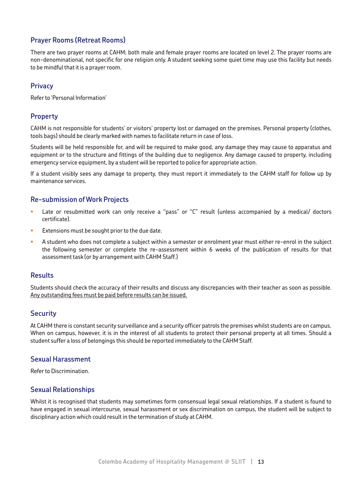#### **Prayer Rooms (Retreat Rooms)**

There are two prayer rooms at CAHM; both male and female prayer rooms are located on level 2. The prayer rooms are non-denominational, not specific for one religion only. A student seeking some quiet time may use this facility but needs to be mindful that it is a prayer room.

#### **Privacy**

Referto 'Personal Information'

#### **Property**

CAHM is not responsible for students' or visitors' property lost or damaged on the premises. Personal property (clothes, tools bags) should be clearly marked with names to facilitate return in case of loss.

Students will be held responsible for, and will be required to make good, any damage they may cause to apparatus and equipment or to the structure and fittings of the building due to negligence. Any damage caused to property, including emergency service equipment, by a student will be reported to police for appropriate action.

If a student visibly sees any damage to property, they must report it immediately to the CAHM staff for follow up by maintenance services.

#### **Re-submission of Work Projects**

- ß Late or resubmitted work can only receive a "pass" or "C" result (unless accompanied by a medical/ doctors certificate).
- Extensions must be sought prior to the due date.
- ßß A student who does not complete a subject within a semester or enrolment year must either re-enrol in the subject the following semester or complete the re-assessment within 6 weeks of the publication of results for that assessment task (or by arrangement with CAHM Staff.)

#### **Results**

Students should check the accuracy of their results and discuss any discrepancies with their teacher as soon as possible. Any outstanding fees must be paid before results can be issued.

#### **Security**

At CAHM there is constant security surveillance and a security officer patrols the premises whilst students are on campus. When on campus, however, it is in the interest of all students to protect their personal property at all times. Should a student suffer a loss of belongings this should be reported immediately to the CAHM Staff.

#### **Sexual Harassment**

Referto Discrimination.

#### **Sexual Relationships**

Whilst it is recognised that students may sometimes form consensual legal sexual relationships. If a student is found to have engaged in sexual intercourse, sexual harassment or sex discrimination on campus, the student will be subject to disciplinary action which could result in the termination of study at CAHM.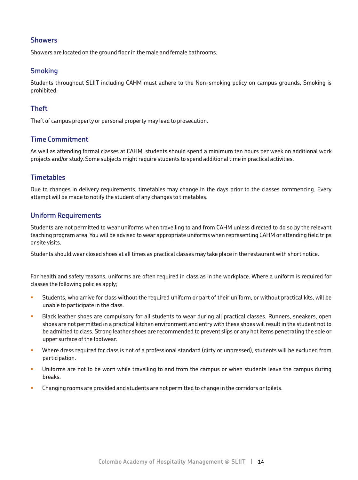#### **Showers**

Showers are located on the ground floorin the male and female bathrooms.

#### **Smoking**

Students throughout SLIIT including CAHM must adhere to the Non-smoking policy on campus grounds, Smoking is prohibited.

#### **Theft**

Theft of campus property or personal property may lead to prosecution.

#### **Time Commitment**

As well as attending formal classes at CAHM, students should spend a minimum ten hours per week on additional work projects and/or study. Some subjects might require students to spend additional time in practical activities.

#### **Timetables**

Due to changes in delivery requirements, timetables may change in the days prior to the classes commencing. Every attempt will be made to notify the student of any changes to timetables.

#### **Uniform Requirements**

Students are not permitted to wear uniforms when travelling to and from CAHM unless directed to do so by the relevant teaching program area. You will be advised to wear appropriate uniforms when representing CAHM or attending field trips or site visits.

Students should wear closed shoes at all times as practical classes may take place in the restaurant with short notice.

For health and safety reasons, uniforms are often required in class as in the workplace. Where a uniform is required for classes the following policies apply;

- **Students, who arrive for class without the required uniform or part of their uniform, or without practical kits, will be intertated and the unit of the unit of the unit of the unit of the unit of the unit of the unit of t** unable to participate in the class.
- Black leather shoes are compulsory for all students to wear during all practical classes. Runners, sneakers, open ß shoes are not permitted in a practical kitchen environment and entry with these shoes will resultin the student notto be admitted to class. Strong leather shoes are recommended to prevent slips or any hot items penetrating the sole or upper surface of the footwear.
- Where dress required for class is not of a professional standard (dirty or unpressed), students will be excluded from ß participation.
- **Uniforms are not to be worn while travelling to and from the campus or when students leave the campus during 4** breaks.
- **•** Changing rooms are provided and students are not permitted to change in the corridors or toilets.